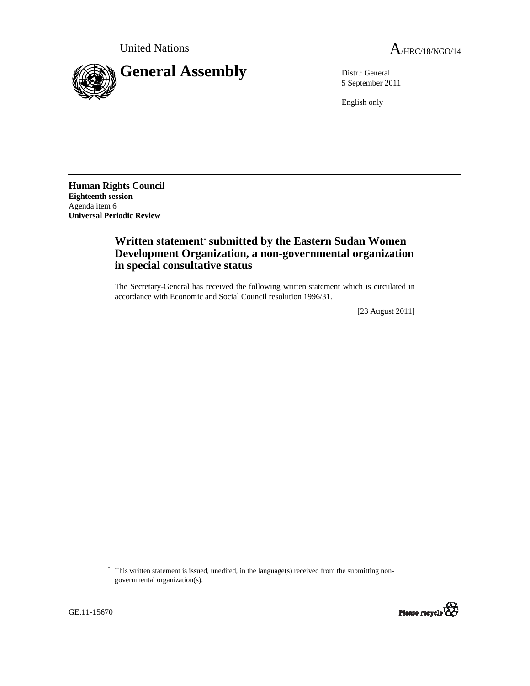

5 September 2011

English only

**Human Rights Council Eighteenth session**  Agenda item 6 **Universal Periodic Review** 

## **Written statement\* submitted by the Eastern Sudan Women Development Organization, a non-governmental organization in special consultative status**

The Secretary-General has received the following written statement which is circulated in accordance with Economic and Social Council resolution 1996/31.

[23 August 2011]

<sup>\*</sup> This written statement is issued, unedited, in the language(s) received from the submitting nongovernmental organization(s).

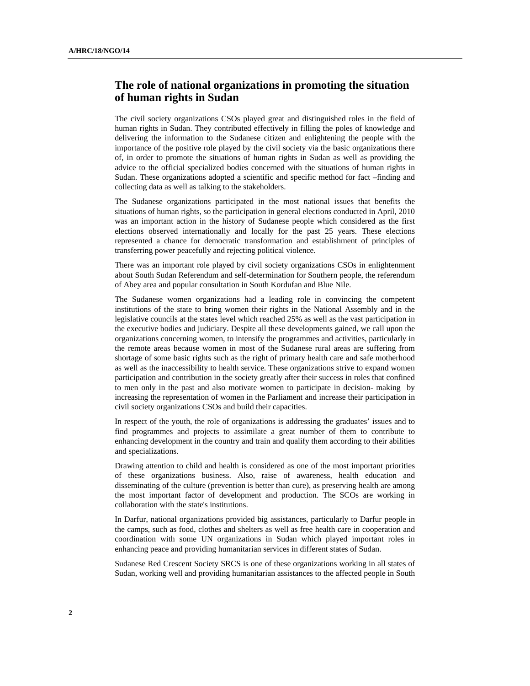## **The role of national organizations in promoting the situation of human rights in Sudan**

The civil society organizations CSOs played great and distinguished roles in the field of human rights in Sudan. They contributed effectively in filling the poles of knowledge and delivering the information to the Sudanese citizen and enlightening the people with the importance of the positive role played by the civil society via the basic organizations there of, in order to promote the situations of human rights in Sudan as well as providing the advice to the official specialized bodies concerned with the situations of human rights in Sudan. These organizations adopted a scientific and specific method for fact –finding and collecting data as well as talking to the stakeholders.

The Sudanese organizations participated in the most national issues that benefits the situations of human rights, so the participation in general elections conducted in April, 2010 was an important action in the history of Sudanese people which considered as the first elections observed internationally and locally for the past 25 years. These elections represented a chance for democratic transformation and establishment of principles of transferring power peacefully and rejecting political violence.

There was an important role played by civil society organizations CSOs in enlightenment about South Sudan Referendum and self-determination for Southern people, the referendum of Abey area and popular consultation in South Kordufan and Blue Nile.

The Sudanese women organizations had a leading role in convincing the competent institutions of the state to bring women their rights in the National Assembly and in the legislative councils at the states level which reached 25% as well as the vast participation in the executive bodies and judiciary. Despite all these developments gained, we call upon the organizations concerning women, to intensify the programmes and activities, particularly in the remote areas because women in most of the Sudanese rural areas are suffering from shortage of some basic rights such as the right of primary health care and safe motherhood as well as the inaccessibility to health service. These organizations strive to expand women participation and contribution in the society greatly after their success in roles that confined to men only in the past and also motivate women to participate in decision- making by increasing the representation of women in the Parliament and increase their participation in civil society organizations CSOs and build their capacities.

In respect of the youth, the role of organizations is addressing the graduates' issues and to find programmes and projects to assimilate a great number of them to contribute to enhancing development in the country and train and qualify them according to their abilities and specializations.

Drawing attention to child and health is considered as one of the most important priorities of these organizations business. Also, raise of awareness, health education and disseminating of the culture (prevention is better than cure), as preserving health are among the most important factor of development and production. The SCOs are working in collaboration with the state's institutions.

In Darfur, national organizations provided big assistances, particularly to Darfur people in the camps, such as food, clothes and shelters as well as free health care in cooperation and coordination with some UN organizations in Sudan which played important roles in enhancing peace and providing humanitarian services in different states of Sudan.

Sudanese Red Crescent Society SRCS is one of these organizations working in all states of Sudan, working well and providing humanitarian assistances to the affected people in South